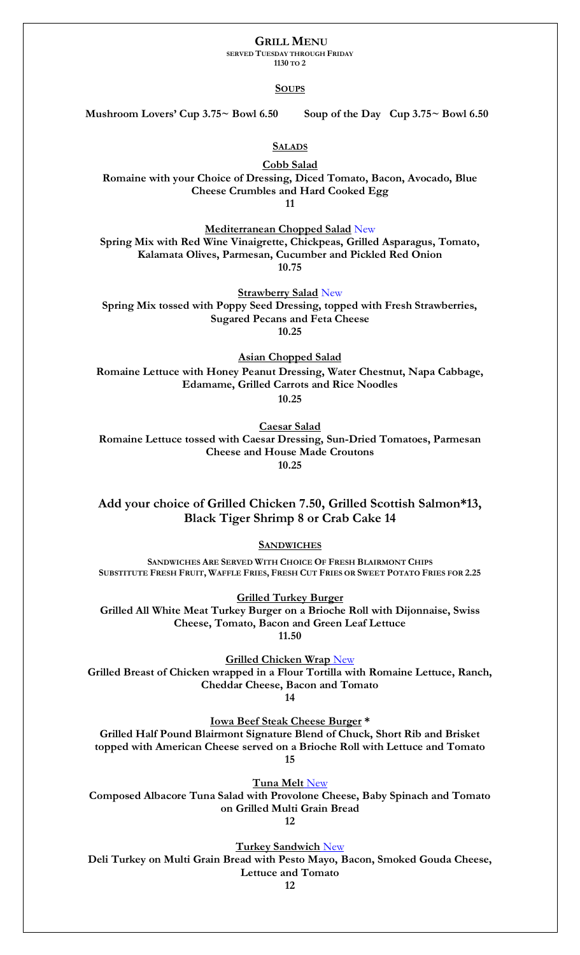## **GRILL MENU**

**SERVED TUESDAY THROUGH FRIDAY**

**1130 TO 2**

## **SOUPS**

**Mushroom Lovers' Cup 3.75~ Bowl 6.50 Soup of the Day Cup 3.75~ Bowl 6.50**

**SALADS**

**Cobb Salad Romaine with your Choice of Dressing, Diced Tomato, Bacon, Avocado, Blue Cheese Crumbles and Hard Cooked Egg 11**

**Mediterranean Chopped Salad** New **Spring Mix with Red Wine Vinaigrette, Chickpeas, Grilled Asparagus, Tomato, Kalamata Olives, Parmesan, Cucumber and Pickled Red Onion 10.75**

**Strawberry Salad** New **Spring Mix tossed with Poppy Seed Dressing, topped with Fresh Strawberries, Sugared Pecans and Feta Cheese 10.25**

**Asian Chopped Salad Romaine Lettuce with Honey Peanut Dressing, Water Chestnut, Napa Cabbage, Edamame, Grilled Carrots and Rice Noodles 10.25**

**Caesar Salad Romaine Lettuce tossed with Caesar Dressing, Sun-Dried Tomatoes, Parmesan Cheese and House Made Croutons 10.25**

**Add your choice of Grilled Chicken 7.50, Grilled Scottish Salmon\*13, Black Tiger Shrimp 8 or Crab Cake 14**

**SANDWICHES**

**SANDWICHES ARE SERVED WITH CHOICE OF FRESH BLAIRMONT CHIPS**  SUBSTITUTE FRESH FRUIT, WAFFLE FRIES, FRESH CUT FRIES OR SWEET POTATO FRIES FOR 2.25

**Grilled Turkey Burger Grilled All White Meat Turkey Burger on a Brioche Roll with Dijonnaise, Swiss Cheese, Tomato, Bacon and Green Leaf Lettuce 11.50**

**Grilled Chicken Wrap** New **Grilled Breast of Chicken wrapped in a Flour Tortilla with Romaine Lettuce, Ranch, Cheddar Cheese, Bacon and Tomato 14**

**Iowa Beef Steak Cheese Burger \***

**Grilled Half Pound Blairmont Signature Blend of Chuck, Short Rib and Brisket topped with American Cheese served on a Brioche Roll with Lettuce and Tomato 15**

**Tuna Melt** New **Composed Albacore Tuna Salad with Provolone Cheese, Baby Spinach and Tomato** 

**on Grilled Multi Grain Bread 12**

**Turkey Sandwich** New

**Deli Turkey on Multi Grain Bread with Pesto Mayo, Bacon, Smoked Gouda Cheese, Lettuce and Tomato**

**12**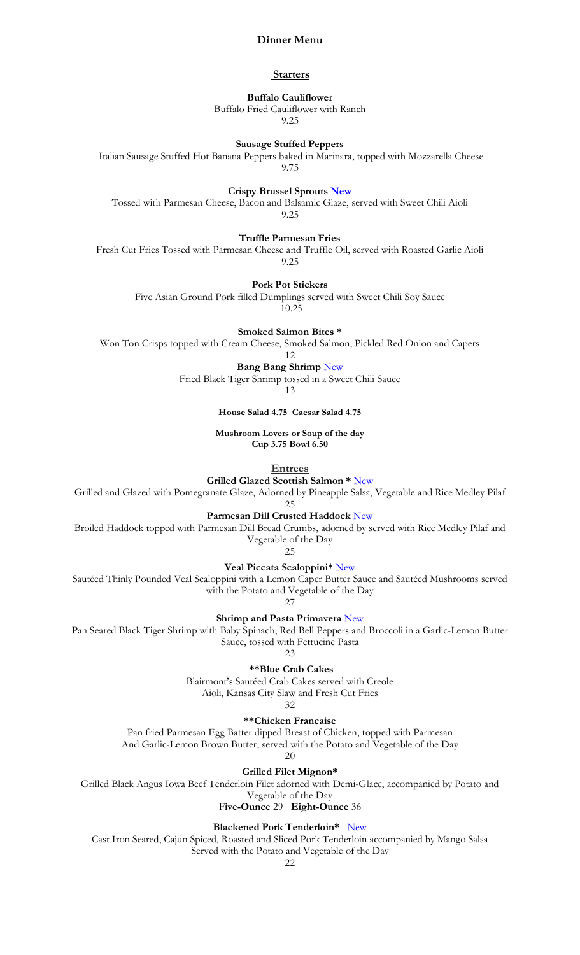### **Dinner Menu**

#### **Starters**

# **Buffalo Cauliflower** Buffalo Fried Cauliflower with Ranch

9.25

### **Sausage Stuffed Peppers**

Italian Sausage Stuffed Hot Banana Peppers baked in Marinara, topped with Mozzarella Cheese 9.75

**Crispy Brussel Sprouts New**

Tossed with Parmesan Cheese, Bacon and Balsamic Glaze, served with Sweet Chili Aioli 9.25

**Truffle Parmesan Fries**

Fresh Cut Fries Tossed with Parmesan Cheese and Truffle Oil, served with Roasted Garlic Aioli 9.25

**Pork Pot Stickers**

Five Asian Ground Pork filled Dumplings served with Sweet Chili Soy Sauce

10.25

**Smoked Salmon Bites \***

Won Ton Crisps topped with Cream Cheese, Smoked Salmon, Pickled Red Onion and Capers

12

**Bang Bang Shrimp** New Fried Black Tiger Shrimp tossed in a Sweet Chili Sauce

13

**House Salad 4.75 Caesar Salad 4.75**

**Mushroom Lovers or Soup of the day Cup 3.75 Bowl 6.50**

**Entrees**

**Grilled Glazed Scottish Salmon \*** New

Grilled and Glazed with Pomegranate Glaze, Adorned by Pineapple Salsa, Vegetable and Rice Medley Pilaf

25

**Parmesan Dill Crusted Haddock** New

Broiled Haddock topped with Parmesan Dill Bread Crumbs, adorned by served with Rice Medley Pilaf and Vegetable of the Day

25

**Veal Piccata Scaloppini\*** New

Sautéed Thinly Pounded Veal Scaloppini with a Lemon Caper Butter Sauce and Sautéed Mushrooms served with the Potato and Vegetable of the Day

27

**Shrimp and Pasta Primavera** New

Pan Seared Black Tiger Shrimp with Baby Spinach, Red Bell Peppers and Broccoli in a Garlic-Lemon Butter Sauce, tossed with Fettucine Pasta

 $23$ 

**\*\*Blue Crab Cakes**

Blairmont's Sautéed Crab Cakes served with Creole Aioli, Kansas City Slaw and Fresh Cut Fries

32

**\*\*Chicken Francaise**

Pan fried Parmesan Egg Batter dipped Breast of Chicken, topped with Parmesan

And Garlic-Lemon Brown Butter, served with the Potato and Vegetable of the Day 20

**Grilled Filet Mignon\*** 

Grilled Black Angus Iowa Beef Tenderloin Filet adorned with Demi-Glace, accompanied by Potato and

Vegetable of the Day F**ive-Ounce** 29 **Eight-Ounce** 36

**Blackened Pork Tenderloin\*** New

Cast Iron Seared, Cajun Spiced, Roasted and Sliced Pork Tenderloin accompanied by Mango Salsa Served with the Potato and Vegetable of the Day